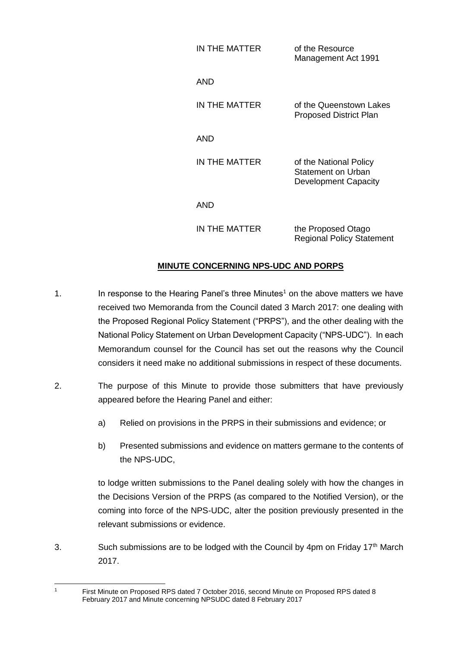| IN THE MATTER | of the Resource<br>Management Act 1991                               |
|---------------|----------------------------------------------------------------------|
| AND           |                                                                      |
| IN THE MATTER | of the Queenstown Lakes<br><b>Proposed District Plan</b>             |
| AND           |                                                                      |
| IN THE MATTER | of the National Policy<br>Statement on Urban<br>Development Capacity |
| AND           |                                                                      |
| IN THE MATTER | the Proposed Otago<br>Regional Policy Statement                      |

## **MINUTE CONCERNING NPS-UDC AND PORPS**

- 1. In response to the Hearing Panel's three Minutes<sup>1</sup> on the above matters we have received two Memoranda from the Council dated 3 March 2017: one dealing with the Proposed Regional Policy Statement ("PRPS"), and the other dealing with the National Policy Statement on Urban Development Capacity ("NPS-UDC"). In each Memorandum counsel for the Council has set out the reasons why the Council considers it need make no additional submissions in respect of these documents.
- 2. The purpose of this Minute to provide those submitters that have previously appeared before the Hearing Panel and either:
	- a) Relied on provisions in the PRPS in their submissions and evidence; or
	- b) Presented submissions and evidence on matters germane to the contents of the NPS-UDC,

to lodge written submissions to the Panel dealing solely with how the changes in the Decisions Version of the PRPS (as compared to the Notified Version), or the coming into force of the NPS-UDC, alter the position previously presented in the relevant submissions or evidence.

3. Such submissions are to be lodged with the Council by 4pm on Friday 17<sup>th</sup> March 2017.

 First Minute on Proposed RPS dated 7 October 2016, second Minute on Proposed RPS dated 8 February 2017 and Minute concerning NPSUDC dated 8 February 2017